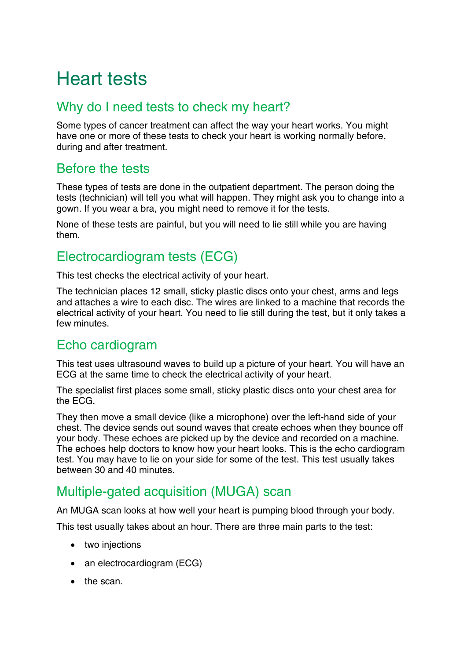# Heart tests

## Why do I need tests to check my heart?

Some types of cancer treatment can affect the way your heart works. You might have one or more of these tests to check your heart is working normally before, during and after treatment.

## Before the tests

These types of tests are done in the outpatient department. The person doing the tests (technician) will tell you what will happen. They might ask you to change into a gown. If you wear a bra, you might need to remove it for the tests.

None of these tests are painful, but you will need to lie still while you are having them.

# Electrocardiogram tests (ECG)

This test checks the electrical activity of your heart.

The technician places 12 small, sticky plastic discs onto your chest, arms and legs and attaches a wire to each disc. The wires are linked to a machine that records the electrical activity of your heart. You need to lie still during the test, but it only takes a few minutes.

# Echo cardiogram

This test uses ultrasound waves to build up a picture of your heart. You will have an ECG at the same time to check the electrical activity of your heart.

The specialist first places some small, sticky plastic discs onto your chest area for the [ECG.](http://www.macmillan.org.uk/Cancerinformation/teensandyoungadults/Testsandscans/ECG.aspx)

They then move a small device (like a microphone) over the left-hand side of your chest. The device sends out sound waves that create echoes when they bounce off your body. These echoes are picked up by the device and recorded on a machine. The echoes help doctors to know how your heart looks. This is the echo cardiogram test. You may have to lie on your side for some of the test. This test usually takes between 30 and 40 minutes.

# Multiple-gated acquisition (MUGA) scan

An MUGA scan looks at how well your heart is pumping blood through your body.

This test usually takes about an hour. There are three main parts to the test:

- two injections
- an electrocardiogram (ECG)
- the scan.